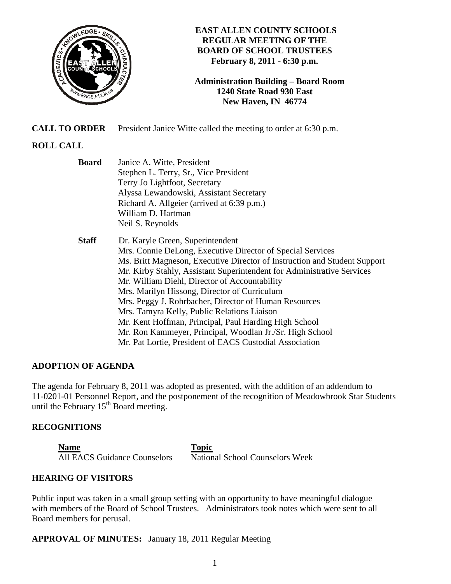

## **EAST ALLEN COUNTY SCHOOLS REGULAR MEETING OF THE BOARD OF SCHOOL TRUSTEES February 8, 2011 - 6:30 p.m.**

**Administration Building – Board Room 1240 State Road 930 East New Haven, IN 46774**

**CALL TO ORDER** President Janice Witte called the meeting to order at 6:30 p.m.

# **ROLL CALL**

| <b>Board</b> | Janice A. Witte, President                                                |  |  |
|--------------|---------------------------------------------------------------------------|--|--|
|              | Stephen L. Terry, Sr., Vice President                                     |  |  |
|              | Terry Jo Lightfoot, Secretary                                             |  |  |
|              | Alyssa Lewandowski, Assistant Secretary                                   |  |  |
|              | Richard A. Allgeier (arrived at 6:39 p.m.)                                |  |  |
|              | William D. Hartman                                                        |  |  |
|              | Neil S. Reynolds                                                          |  |  |
| <b>Staff</b> | Dr. Karyle Green, Superintendent                                          |  |  |
|              | Mrs. Connie DeLong, Executive Director of Special Services                |  |  |
|              | Ms. Britt Magneson, Executive Director of Instruction and Student Support |  |  |
|              | Mr. Kirby Stahly, Assistant Superintendent for Administrative Services    |  |  |
|              | Mr. William Diehl, Director of Accountability                             |  |  |
|              | Mrs. Marilyn Hissong, Director of Curriculum                              |  |  |
|              | Mrs. Peggy J. Rohrbacher, Director of Human Resources                     |  |  |
|              | Mrs. Tamyra Kelly, Public Relations Liaison                               |  |  |
|              | Mr. Kent Hoffman, Principal, Paul Harding High School                     |  |  |
|              | Mr. Ron Kammeyer, Principal, Woodlan Jr./Sr. High School                  |  |  |
|              | Mr. Pat Lortie, President of EACS Custodial Association                   |  |  |

# **ADOPTION OF AGENDA**

The agenda for February 8, 2011 was adopted as presented, with the addition of an addendum to 11-0201-01 Personnel Report, and the postponement of the recognition of Meadowbrook Star Students until the February  $15<sup>th</sup>$  Board meeting.

## **RECOGNITIONS**

**Name** Topic All EACS Guidance Counselors National School Counselors Week

## **HEARING OF VISITORS**

Public input was taken in a small group setting with an opportunity to have meaningful dialogue with members of the Board of School Trustees. Administrators took notes which were sent to all Board members for perusal.

**APPROVAL OF MINUTES:** January 18, 2011 Regular Meeting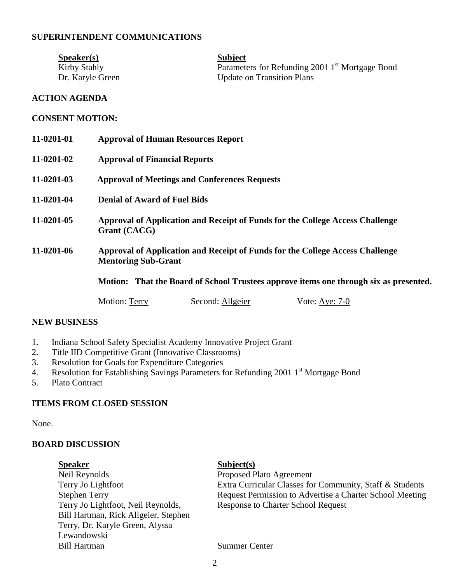## **SUPERINTENDENT COMMUNICATIONS**

| S <sub>p</sub> e <sub>aker(s)</sub> | <b>Subject</b>                                              |
|-------------------------------------|-------------------------------------------------------------|
| Kirby Stahly                        | Parameters for Refunding 2001 1 <sup>st</sup> Mortgage Bond |
| Dr. Karyle Green                    | <b>Update on Transition Plans</b>                           |

### **ACTION AGENDA**

#### **CONSENT MOTION:**

| 11-0201-01 | <b>Approval of Human Resources Report</b>                                                                   |                  |                  |  |
|------------|-------------------------------------------------------------------------------------------------------------|------------------|------------------|--|
| 11-0201-02 | <b>Approval of Financial Reports</b>                                                                        |                  |                  |  |
| 11-0201-03 | <b>Approval of Meetings and Conferences Requests</b>                                                        |                  |                  |  |
| 11-0201-04 | <b>Denial of Award of Fuel Bids</b>                                                                         |                  |                  |  |
| 11-0201-05 | Approval of Application and Receipt of Funds for the College Access Challenge<br>Grant (CACG)               |                  |                  |  |
| 11-0201-06 | Approval of Application and Receipt of Funds for the College Access Challenge<br><b>Mentoring Sub-Grant</b> |                  |                  |  |
|            | Motion: That the Board of School Trustees approve items one through six as presented.                       |                  |                  |  |
|            | <b>Motion: Terry</b>                                                                                        | Second: Allgeier | Vote: Aye: $7-0$ |  |

#### **NEW BUSINESS**

- 1. Indiana School Safety Specialist Academy Innovative Project Grant
- 2. Title IID Competitive Grant (Innovative Classrooms)
- 3. Resolution for Goals for Expenditure Categories
- 4. Resolution for Establishing Savings Parameters for Refunding 2001 1st Mortgage Bond
- 5. Plato Contract

### **ITEMS FROM CLOSED SESSION**

None.

### **BOARD DISCUSSION**

External Subject(s)<br>
Neil Reynolds<br>
Proposed P Neil Reynolds<br>
Terry Jo Lightfoot<br>
Terry Jo Lightfoot<br>
Extra Curricular Classes for Terry Jo Lightfoot, Neil Reynolds, Response to Charter School Request Bill Hartman, Rick Allgeier, Stephen Terry, Dr. Karyle Green, Alyssa Lewandowski Bill Hartman Summer Center

Extra Curricular Classes for Community, Staff & Students Stephen Terry Request Permission to Advertise a Charter School Meeting